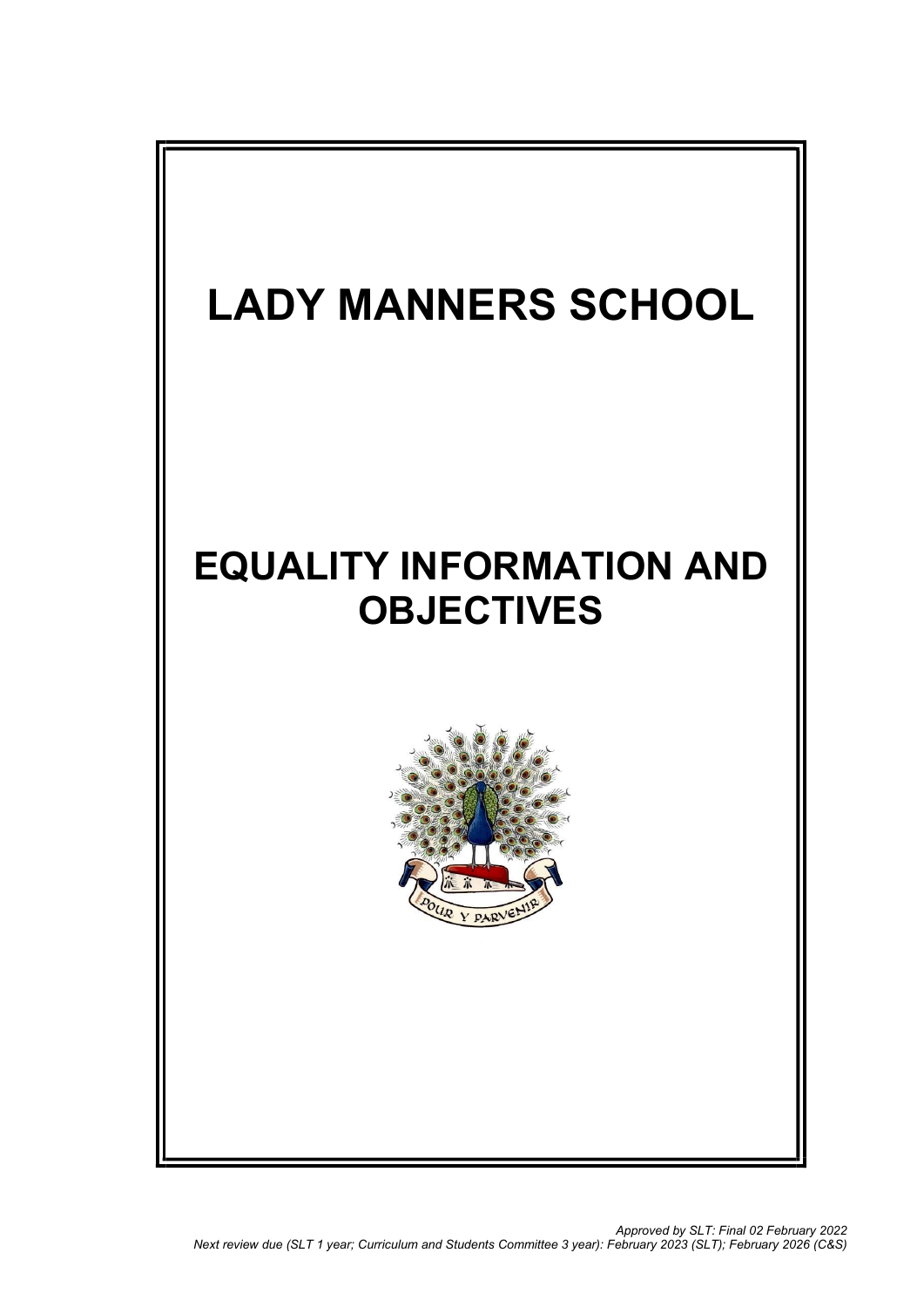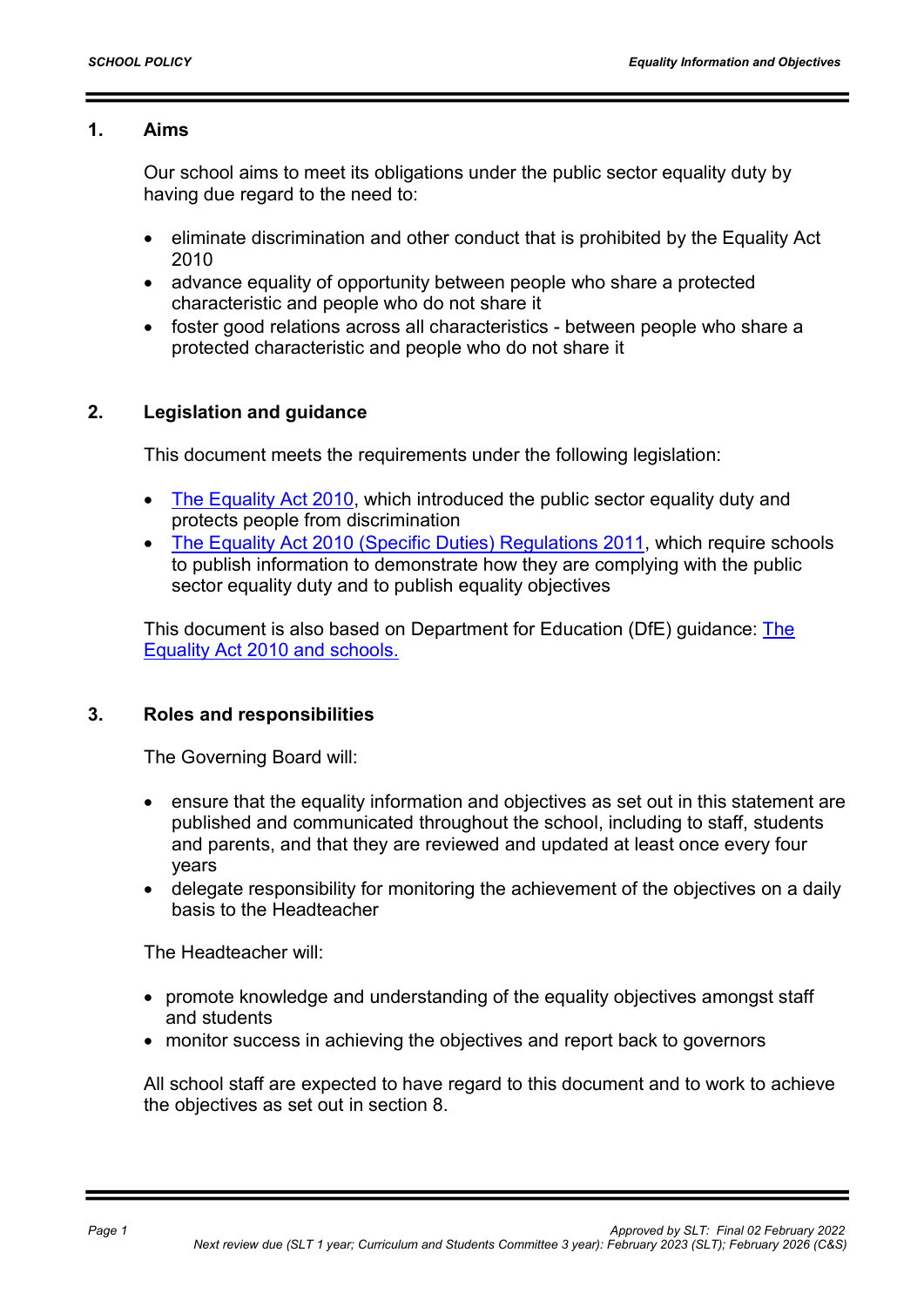### 1. Aims

Our school aims to meet its obligations under the public sector equality duty by having due regard to the need to:

- eliminate discrimination and other conduct that is prohibited by the Equality Act 2010
- advance equality of opportunity between people who share a protected characteristic and people who do not share it
- foster good relations across all characteristics between people who share a protected characteristic and people who do not share it

# 2. Legislation and guidance

This document meets the requirements under the following legislation:

- The Equality Act 2010, which introduced the public sector equality duty and protects people from discrimination
- The Equality Act 2010 (Specific Duties) Regulations 2011, which require schools to publish information to demonstrate how they are complying with the public sector equality duty and to publish equality objectives

This document is also based on Department for Education (DfE) guidance: The Equality Act 2010 and schools.

### 3. Roles and responsibilities

The Governing Board will:

- ensure that the equality information and objectives as set out in this statement are published and communicated throughout the school, including to staff, students and parents, and that they are reviewed and updated at least once every four years
- delegate responsibility for monitoring the achievement of the objectives on a daily basis to the Headteacher

The Headteacher will:

- promote knowledge and understanding of the equality objectives amongst staff and students
- monitor success in achieving the objectives and report back to governors

All school staff are expected to have regard to this document and to work to achieve the objectives as set out in section 8.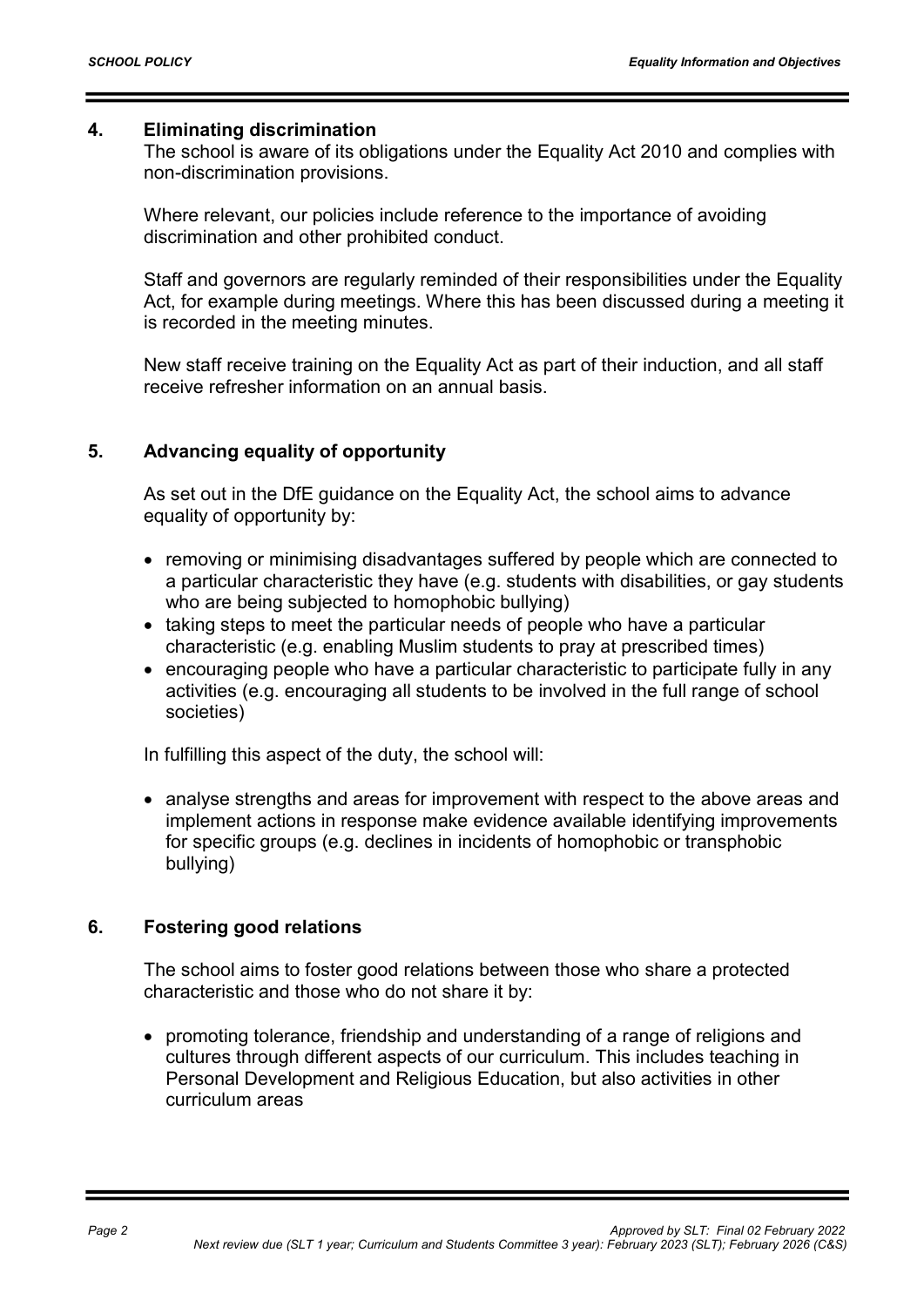#### 4. Eliminating discrimination

The school is aware of its obligations under the Equality Act 2010 and complies with non-discrimination provisions.

Where relevant, our policies include reference to the importance of avoiding discrimination and other prohibited conduct.

Staff and governors are regularly reminded of their responsibilities under the Equality Act, for example during meetings. Where this has been discussed during a meeting it is recorded in the meeting minutes.

New staff receive training on the Equality Act as part of their induction, and all staff receive refresher information on an annual basis.

### 5. Advancing equality of opportunity

As set out in the DfE guidance on the Equality Act, the school aims to advance equality of opportunity by:

- removing or minimising disadvantages suffered by people which are connected to a particular characteristic they have (e.g. students with disabilities, or gay students who are being subjected to homophobic bullying)
- taking steps to meet the particular needs of people who have a particular characteristic (e.g. enabling Muslim students to pray at prescribed times)
- encouraging people who have a particular characteristic to participate fully in any activities (e.g. encouraging all students to be involved in the full range of school societies)

In fulfilling this aspect of the duty, the school will:

• analyse strengths and areas for improvement with respect to the above areas and implement actions in response make evidence available identifying improvements for specific groups (e.g. declines in incidents of homophobic or transphobic bullying)

### 6. Fostering good relations

The school aims to foster good relations between those who share a protected characteristic and those who do not share it by:

 promoting tolerance, friendship and understanding of a range of religions and cultures through different aspects of our curriculum. This includes teaching in Personal Development and Religious Education, but also activities in other curriculum areas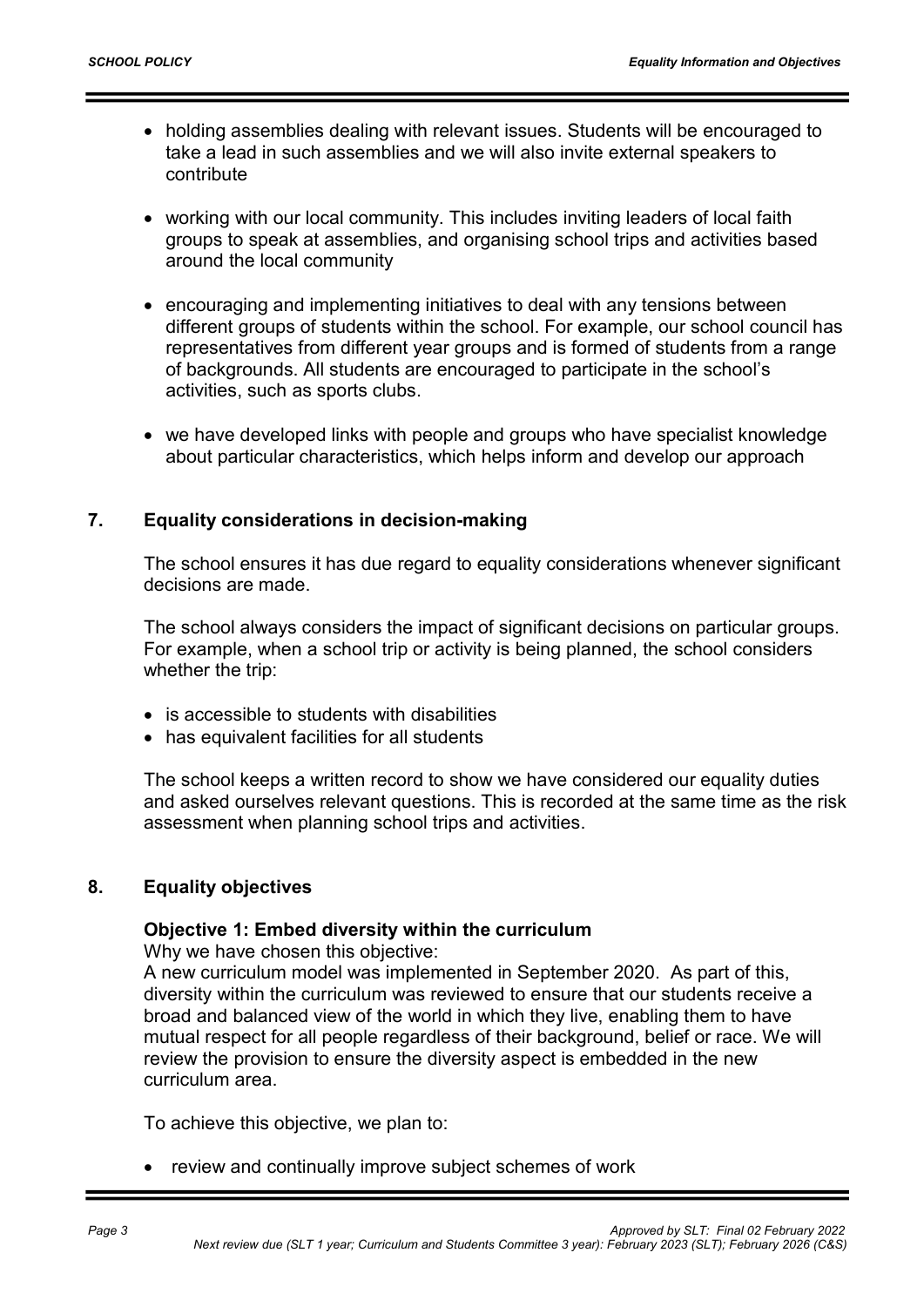- holding assemblies dealing with relevant issues. Students will be encouraged to take a lead in such assemblies and we will also invite external speakers to contribute
- working with our local community. This includes inviting leaders of local faith groups to speak at assemblies, and organising school trips and activities based around the local community
- encouraging and implementing initiatives to deal with any tensions between different groups of students within the school. For example, our school council has representatives from different year groups and is formed of students from a range of backgrounds. All students are encouraged to participate in the school's activities, such as sports clubs.
- we have developed links with people and groups who have specialist knowledge about particular characteristics, which helps inform and develop our approach

### 7. Equality considerations in decision-making

The school ensures it has due regard to equality considerations whenever significant decisions are made.

The school always considers the impact of significant decisions on particular groups. For example, when a school trip or activity is being planned, the school considers whether the trip:

- is accessible to students with disabilities
- has equivalent facilities for all students

The school keeps a written record to show we have considered our equality duties and asked ourselves relevant questions. This is recorded at the same time as the risk assessment when planning school trips and activities.

#### 8. Equality objectives

#### Objective 1: Embed diversity within the curriculum

Why we have chosen this objective:

A new curriculum model was implemented in September 2020. As part of this, diversity within the curriculum was reviewed to ensure that our students receive a broad and balanced view of the world in which they live, enabling them to have mutual respect for all people regardless of their background, belief or race. We will review the provision to ensure the diversity aspect is embedded in the new curriculum area.

To achieve this objective, we plan to:

• review and continually improve subject schemes of work